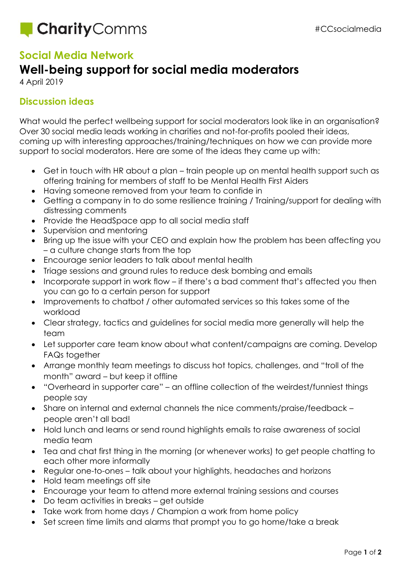

## **Social Media Network**

## **Well-being support for social media moderators**

4 April 2019

## **Discussion ideas**

What would the perfect wellbeing support for social moderators look like in an organisation? Over 30 social media leads working in charities and not-for-profits pooled their ideas, coming up with interesting approaches/training/techniques on how we can provide more support to social moderators. Here are some of the ideas they came up with:

- Get in touch with HR about a plan train people up on mental health support such as offering training for members of staff to be Mental Health First Aiders
- Having someone removed from your team to confide in
- Getting a company in to do some resilience training / Training/support for dealing with distressing comments
- Provide the HeadSpace app to all social media staff
- Supervision and mentoring
- Bring up the issue with your CEO and explain how the problem has been affecting you – a culture change starts from the top
- Encourage senior leaders to talk about mental health
- Triage sessions and ground rules to reduce desk bombing and emails
- Incorporate support in work flow if there's a bad comment that's affected you then you can go to a certain person for support
- Improvements to chatbot / other automated services so this takes some of the workload
- Clear strategy, tactics and guidelines for social media more generally will help the team
- Let supporter care team know about what content/campaigns are coming. Develop FAQs together
- Arrange monthly team meetings to discuss hot topics, challenges, and "troll of the month" award – but keep it offline
- "Overheard in supporter care" an offline collection of the weirdest/funniest things people say
- Share on internal and external channels the nice comments/praise/feedback people aren't all bad!
- Hold lunch and learns or send round highlights emails to raise awareness of social media team
- Tea and chat first thing in the morning (or whenever works) to get people chatting to each other more informally
- Regular one-to-ones talk about your highlights, headaches and horizons
- Hold team meetings off site
- Encourage your team to attend more external training sessions and courses
- Do team activities in breaks get outside
- Take work from home days / Champion a work from home policy
- Set screen time limits and alarms that prompt you to go home/take a break